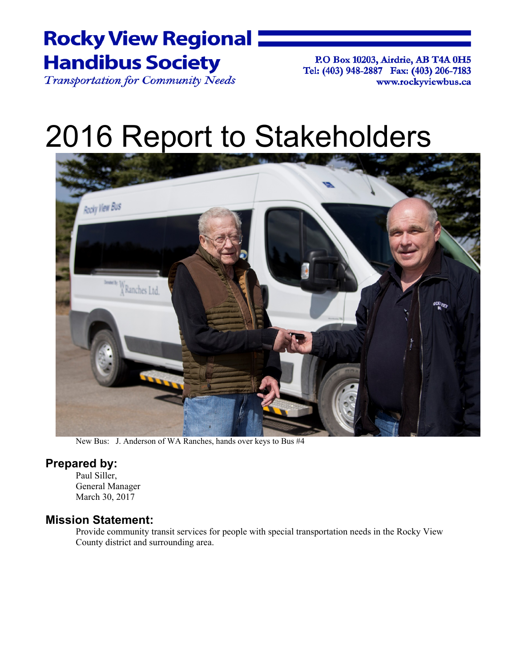# **Rocky View Regional**  $\blacksquare$ **Handibus Society**

Transportation for Community Needs

P.O Box 10203, Airdrie, AB T4A 0H5 Tel: (403) 948-2887 Fax: (403) 206-7183 www.rockyviewbus.ca

# 2016 Report to Stakeholders



New Bus: J. Anderson of WA Ranches, hands over keys to Bus #4

### **Prepared by:**

Paul Siller, General Manager March 30, 2017

### **Mission Statement:**

Provide community transit services for people with special transportation needs in the Rocky View County district and surrounding area.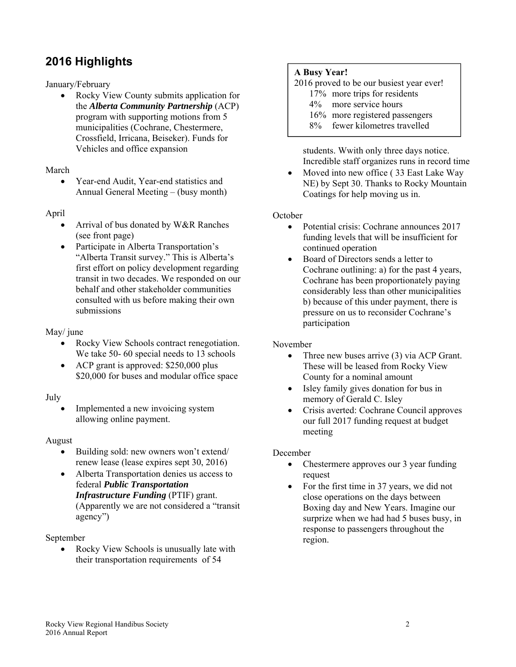### **2016 Highlights**

### January/February

 Rocky View County submits application for the *Alberta Community Partnership* (ACP) program with supporting motions from 5 municipalities (Cochrane, Chestermere, Crossfield, Irricana, Beiseker). Funds for Vehicles and office expansion

### March

 Year-end Audit, Year-end statistics and Annual General Meeting – (busy month)

### April

- Arrival of bus donated by W&R Ranches (see front page)
- Participate in Alberta Transportation's "Alberta Transit survey." This is Alberta's first effort on policy development regarding transit in two decades. We responded on our behalf and other stakeholder communities consulted with us before making their own submissions

### May/ june

- Rocky View Schools contract renegotiation. We take 50- 60 special needs to 13 schools
- ACP grant is approved: \$250,000 plus \$20,000 for buses and modular office space

### July

 Implemented a new invoicing system allowing online payment.

### August

- Building sold: new owners won't extend/ renew lease (lease expires sept 30, 2016)
- Alberta Transportation denies us access to federal *Public Transportation Infrastructure Funding* (PTIF) grant. (Apparently we are not considered a "transit agency")

### September

 Rocky View Schools is unusually late with their transportation requirements of 54

### **A Busy Year!**

2016 proved to be our busiest year ever!

- 17% more trips for residents
- 4% more service hours
- 16% more registered passengers
- 8% fewer kilometres travelled

students. Wwith only three days notice. Incredible staff organizes runs in record time

• Moved into new office (33 East Lake Way NE) by Sept 30. Thanks to Rocky Mountain Coatings for help moving us in.

### October

- Potential crisis: Cochrane announces 2017 funding levels that will be insufficient for continued operation
- Board of Directors sends a letter to Cochrane outlining: a) for the past 4 years, Cochrane has been proportionately paying considerably less than other municipalities b) because of this under payment, there is pressure on us to reconsider Cochrane's participation

### November

- Three new buses arrive (3) via ACP Grant. These will be leased from Rocky View County for a nominal amount
- Isley family gives donation for bus in memory of Gerald C. Isley
- Crisis averted: Cochrane Council approves our full 2017 funding request at budget meeting

### December

- Chestermere approves our 3 year funding request
- For the first time in 37 years, we did not close operations on the days between Boxing day and New Years. Imagine our surprize when we had had 5 buses busy, in response to passengers throughout the region.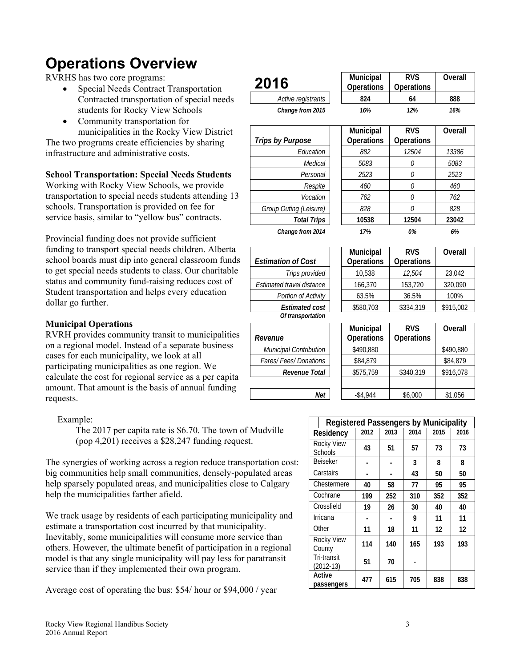# **Operations Overview**

RVRHS has two core programs:

- Special Needs Contract Transportation Contracted transportation of special students for Rocky View Schools
- Community transportation for municipalities in the Rocky View D

The two programs create efficiencies by sharing infrastructure and administrative costs.

### **School Transportation: Special Needs Students**

Working with Rocky View Schools, we prov transportation to special needs students atter schools. Transportation is provided on fee for service basis, similar to "yellow bus" contra

Provincial funding does not provide sufficient funding to transport special needs children. school boards must dip into general classroo to get special needs students to class. Our ch status and community fund-raising reduces Student transportation and helps every education dollar go further.

### **Municipal Operations**

RVRH provides community transit to munic on a regional model. Instead of a separate business cases for each municipality, we look at all participating municipalities as one region. W calculate the cost for regional service as a per calculate amount. That amount is the basis of annual requests.

### Example:

The 2017 per capita rate is \$6.70. The town of Mudville (pop 4,201) receives a \$28,247 funding request.

The synergies of working across a region reduce transportation cost: big communities help small communities, densely-populated areas help sparsely populated areas, and municipalities close to Calgary help the municipalities farther afield.

We track usage by residents of each participating municipality and estimate a transportation cost incurred by that municipality. Inevitably, some municipalities will consume more service than others. However, the ultimate benefit of participation in a regional model is that any single municipality will pay less for paratransit service than if they implemented their own program.

Average cost of operating the bus: \$54/ hour or \$94,000 / year

| tion                    | 2016                                       | Municipal<br>Operations | <b>RVS</b><br>Operations | Overall   |
|-------------------------|--------------------------------------------|-------------------------|--------------------------|-----------|
| l needs                 | Active registrants                         | 824                     | 64                       | 888       |
|                         | Change from 2015                           | 16%                     | 12%                      | 16%       |
| <b>District</b><br>ring | <b>Trips by Purpose</b>                    | Municipal<br>Operations | <b>RVS</b><br>Operations | Overall   |
|                         | Education                                  | 882                     | 12504                    | 13386     |
|                         | Medical                                    | 5083                    | 0                        | 5083      |
| ıdents                  | Personal                                   | 2523                    | 0                        | 2523      |
| vide                    | Respite                                    | 460                     | $\theta$                 | 460       |
| nding 13                | Vocation                                   | 762                     | 0                        | 762       |
| or                      | Group Outing (Leisure)                     | 828                     | 0                        | 828       |
| cts.                    | <b>Total Trips</b>                         | 10538                   | 12504                    | 23042     |
| 'nt                     | Change from 2014                           | 17%                     | 0%                       | 6%        |
| Alberta<br>om funds     | <b>Estimation of Cost</b>                  | Municipal<br>Operations | <b>RVS</b><br>Operations | Overall   |
| aritable                | Trips provided                             | 10,538                  | 12,504                   | 23,042    |
| cost of                 | Estimated travel distance                  | 166,370                 | 153,720                  | 320,090   |
| ation                   | Portion of Activity                        | 63.5%                   | 36.5%                    | 100%      |
|                         | <b>Estimated cost</b><br>Of transportation | \$580,703               | \$334,319                | \$915,002 |
| cipalities              | Revenue                                    | Municipal<br>Operations | <b>RVS</b><br>Operations | Overall   |
| usiness                 | Municipal Contribution                     | \$490,880               |                          | \$490,880 |
| Ve                      | Fares/Fees/Donations                       | \$84,879                |                          | \$84,879  |
| er capita               | Revenue Total                              | \$575,759               | \$340,319                | \$916,078 |
| funding                 | Net                                        | $-$4,944$               | \$6,000                  | \$1,056   |
|                         |                                            |                         |                          |           |

| <b>Registered Passengers by Municipality</b> |      |              |     |      |      |  |  |  |
|----------------------------------------------|------|--------------|-----|------|------|--|--|--|
| Residency                                    | 2012 | 2013<br>2014 |     | 2015 | 2016 |  |  |  |
| <b>Rocky View</b><br><b>Schools</b>          | 43   | 51           | 57  | 73   | 73   |  |  |  |
| <b>Beiseker</b>                              |      | 3            |     | 8    | 8    |  |  |  |
| Carstairs                                    |      |              | 43  | 50   | 50   |  |  |  |
| Chestermere                                  | 40   | 58           | 77  | 95   | 95   |  |  |  |
| Cochrane                                     | 199  | 252          | 310 | 352  | 352  |  |  |  |
| Crossfield                                   | 19   | 26           | 30  | 40   | 40   |  |  |  |
| Irricana                                     |      |              | 9   | 11   | 11   |  |  |  |
| Other                                        | 11   | 18           | 11  | 12   | 12   |  |  |  |
| <b>Rocky View</b><br>County                  | 114  | 140          | 165 | 193  | 193  |  |  |  |
| Tri-transit<br>$(2012-13)$                   | 51   | 70           |     |      |      |  |  |  |
| Active<br>passengers                         | 477  | 615          | 705 | 838  | 838  |  |  |  |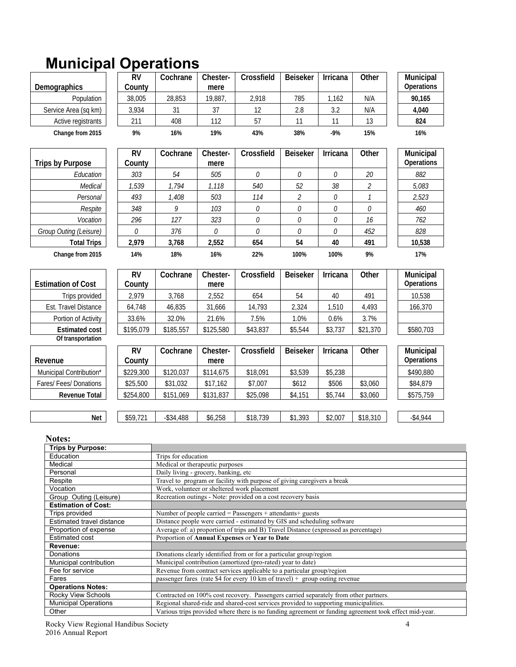# **Municipal Operations**

|                                                   | <b>RV</b>           | Cochrane                             | Chester-         | Crossfield                                                                                                                                                                   | <b>Beiseker</b> | Irricana     | Other                    | Municipal               |
|---------------------------------------------------|---------------------|--------------------------------------|------------------|------------------------------------------------------------------------------------------------------------------------------------------------------------------------------|-----------------|--------------|--------------------------|-------------------------|
| Demographics                                      | County              |                                      | mere             |                                                                                                                                                                              |                 |              |                          | Operations              |
|                                                   |                     |                                      |                  |                                                                                                                                                                              |                 |              |                          |                         |
| Population                                        | 38,005              | 28,853                               | 19,887           | 2,918                                                                                                                                                                        | 785             | 1,162        | N/A                      | 90,165                  |
| Service Area (sq km)                              | 3,934               | 31                                   | 37               | 12                                                                                                                                                                           | 2.8             | 3.2          | N/A                      | 4,040                   |
| Active registrants                                | 211                 | 408                                  | 112              | 57                                                                                                                                                                           | 11              | 11           | 13                       | 824                     |
| Change from 2015                                  | 9%                  | 16%                                  | 19%              | 43%                                                                                                                                                                          | 38%             | $-9%$        | 15%                      | 16%                     |
|                                                   | <b>RV</b>           | Cochrane                             | Chester-         | Crossfield                                                                                                                                                                   | <b>Beiseker</b> | Irricana     | Other                    | Municipal               |
| <b>Trips by Purpose</b>                           | County              |                                      | mere             |                                                                                                                                                                              |                 |              |                          | Operations              |
| Education                                         | 303                 | 54                                   | 505              | 0                                                                                                                                                                            | $\mathcal O$    | $\mathcal O$ | 20                       | 882                     |
| Medical                                           | 1,539               | 1,794                                | 1,118            | 540                                                                                                                                                                          | 52              | 38           | $\overline{\mathcal{L}}$ | 5,083                   |
| Personal                                          | 493                 | 1,408                                | 503              | 114                                                                                                                                                                          | $\mathcal{Z}$   | $\mathcal O$ | 1                        | 2,523                   |
| Respite                                           | 348                 | 9                                    | 103              | О                                                                                                                                                                            | 0               | 0            | О                        | 460                     |
| Vocation                                          | 296                 | 127                                  | 323              | 0                                                                                                                                                                            | 0               | 0            | 16                       | 762                     |
| Group Outing (Leisure)                            | 0                   | 376                                  | 0                | 0                                                                                                                                                                            | 0               | 0            | 452                      | 828                     |
| <b>Total Trips</b>                                | 2,979               | 3,768                                | 2,552            | 654                                                                                                                                                                          | 54              | 40           | 491                      | 10,538                  |
|                                                   |                     |                                      |                  |                                                                                                                                                                              |                 |              |                          |                         |
| Change from 2015                                  | 14%                 | 18%                                  | 16%              | 22%                                                                                                                                                                          | 100%            | 100%         | 9%                       | 17%                     |
| <b>Estimation of Cost</b>                         | <b>RV</b><br>County | Cochrane                             | Chester-<br>mere | Crossfield                                                                                                                                                                   | <b>Beiseker</b> | Irricana     | Other                    | Municipal<br>Operations |
| Trips provided                                    | 2,979               | 3,768                                | 2,552            | 654                                                                                                                                                                          | 54              | 40           | 491                      | 10,538                  |
| Est. Travel Distance                              | 64,748              | 46,835                               | 31,666           | 14,793                                                                                                                                                                       | 2,324           | 1,510        | 4,493                    | 166,370                 |
| Portion of Activity                               | 33.6%               | 32.0%                                | 21.6%            | 7.5%                                                                                                                                                                         | 1.0%            | 0.6%         | 3.7%                     |                         |
| <b>Estimated cost</b>                             | \$195,079           | \$185,557                            | \$125,580        | \$43,837                                                                                                                                                                     | \$5,544         | \$3,737      | \$21,370                 | \$580,703               |
| Of transportation                                 |                     |                                      |                  |                                                                                                                                                                              |                 |              |                          |                         |
|                                                   |                     |                                      |                  |                                                                                                                                                                              |                 |              |                          |                         |
| Revenue                                           | <b>RV</b><br>County | Cochrane                             | Chester-<br>mere | Crossfield                                                                                                                                                                   | <b>Beiseker</b> | Irricana     | Other                    | Municipal<br>Operations |
| Municipal Contribution*                           | \$229,300           | \$120,037                            | \$114,675        | \$18,091                                                                                                                                                                     | \$3,539         | \$5,238      |                          | \$490,880               |
| Fares/ Fees/ Donations                            | \$25,500            | \$31,032                             | \$17,162         | \$7,007                                                                                                                                                                      | \$612           | \$506        | \$3,060                  | \$84,879                |
| <b>Revenue Total</b>                              | \$254,800           | \$151,069                            | \$131,837        | \$25,098                                                                                                                                                                     | \$4,151         | \$5,744      | \$3,060                  | \$575,759               |
| Net                                               | \$59,721            | $-$ \$34,488                         | \$6,258          |                                                                                                                                                                              |                 |              |                          |                         |
|                                                   |                     |                                      |                  |                                                                                                                                                                              |                 |              |                          |                         |
|                                                   |                     |                                      |                  | \$18,739                                                                                                                                                                     | \$1,393         | \$2,007      | \$18,310                 | $-$ \$4,944             |
|                                                   |                     |                                      |                  |                                                                                                                                                                              |                 |              |                          |                         |
| <b>Notes:</b><br>Trips by Purpose:                |                     |                                      |                  |                                                                                                                                                                              |                 |              |                          |                         |
| Education                                         |                     | Trips for education                  |                  |                                                                                                                                                                              |                 |              |                          |                         |
| Medical                                           |                     | Medical or therapeutic purposes      |                  |                                                                                                                                                                              |                 |              |                          |                         |
| Personal                                          |                     | Daily living - grocery, banking, etc |                  |                                                                                                                                                                              |                 |              |                          |                         |
| Respite                                           |                     |                                      |                  | Travel to program or facility with purpose of giving caregivers a break                                                                                                      |                 |              |                          |                         |
| Vocation<br>Group Outing (Leisure)                |                     |                                      |                  | Work, volunteer or sheltered work placement                                                                                                                                  |                 |              |                          |                         |
| <b>Estimation of Cost:</b>                        |                     |                                      |                  | Recreation outings - Note: provided on a cost recovery basis                                                                                                                 |                 |              |                          |                         |
| Trips provided                                    |                     |                                      |                  | Number of people carried = Passengers + attendants + guests                                                                                                                  |                 |              |                          |                         |
| Estimated travel distance                         |                     |                                      |                  | Distance people were carried - estimated by GIS and scheduling software                                                                                                      |                 |              |                          |                         |
| Proportion of expense                             |                     |                                      |                  | Average of: a) proportion of trips and B) Travel Distance (expressed as percentage)                                                                                          |                 |              |                          |                         |
| Estimated cost<br>Revenue:                        |                     |                                      |                  | Proportion of Annual Expenses or Year to Date                                                                                                                                |                 |              |                          |                         |
| Donations                                         |                     |                                      |                  | Donations clearly identified from or for a particular group/region                                                                                                           |                 |              |                          |                         |
| Municipal contribution                            |                     |                                      |                  | Municipal contribution (amortized (pro-rated) year to date)                                                                                                                  |                 |              |                          |                         |
| Fee for service                                   |                     |                                      |                  | Revenue from contract services applicable to a particular group/region                                                                                                       |                 |              |                          |                         |
| Fares                                             |                     |                                      |                  | passenger fares (rate \$4 for every 10 km of travel) + group outing revenue                                                                                                  |                 |              |                          |                         |
| <b>Operations Notes:</b>                          |                     |                                      |                  |                                                                                                                                                                              |                 |              |                          |                         |
| Rocky View Schools<br><b>Municipal Operations</b> |                     |                                      |                  | Contracted on 100% cost recovery. Passengers carried separately from other partners.<br>Regional shared-ride and shared-cost services provided to supporting municipalities. |                 |              |                          |                         |

Various trips provided where there is no funding agreement or funding agreement took effect mid-year.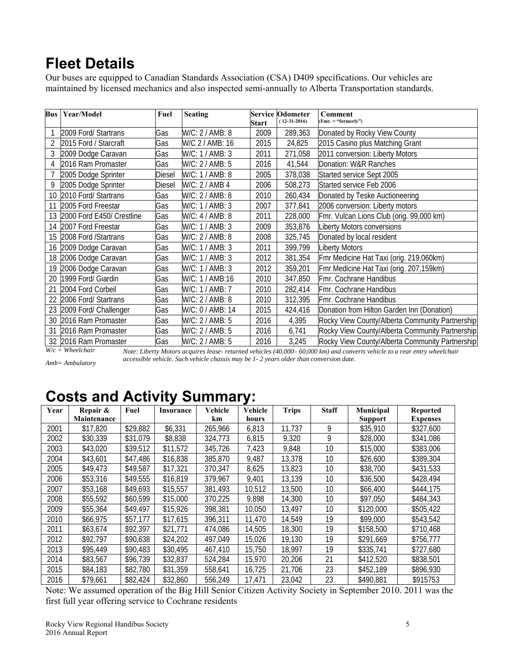## **Fleet Details**

Our buses are equipped to Canadian Standards Association (CSA) D409 specifications. Our vehicles are maintained by licensed mechanics and also inspected semi-annually to Alberta Transportation standards.

| <b>Bus</b> | Year/Model                | Fuel   | <b>Seating</b>   | <b>Start</b> | <b>Service Odometer</b><br>$(12-31-2016)$ | Comment<br>(Fmr. = "formerly")                  |
|------------|---------------------------|--------|------------------|--------------|-------------------------------------------|-------------------------------------------------|
|            | 2009 Ford/ Startrans      | Gas    | W/C: 2 / AMB: 8  | 2009         | 289,363                                   | Donated by Rocky View County                    |
|            | 2015 Ford / Starcraft     | Gas    | W/C 2 / AMB: 16  | 2015         | 24,825                                    | 2015 Casino plus Matching Grant                 |
| 3          | 2009 Dodge Caravan        | Gas    | W/C: 1 / AMB: 3  | 2011         | 271,058                                   | 2011 conversion: Liberty Motors                 |
|            | 2016 Ram Promaster        | Gas    | W/C: 2 / AMB: 5  | 2016         | 41,544                                    | Donation: W&R Ranches                           |
|            | 2005 Dodge Sprinter       | Diesel | W/C: 1 / AMB: 8  | 2005         | 378,038                                   | Started service Sept 2005                       |
| 9          | 2005 Dodge Sprinter       | Diesel | W/C: 2 / AMB 4   | 2006         | 508,273                                   | Started service Feb 2006                        |
| 10         | 2010 Ford/ Startrans      | Gas    | W/C: 2 / AMB: 8  | 2010         | 260,434                                   | Donated by Teske Auctioneering                  |
| 11         | 2005 Ford Freestar        | Gas    | W/C: 1 / AMB: 3  | 2007         | 377,841                                   | 2006 conversion: Liberty motors                 |
| 13         | 2000 Ford E450/ Crestline | Gas    | W/C: 4 / AMB: 8  | 2011         | 228,000                                   | Fmr. Vulcan Lions Club (orig. 99,000 km)        |
| 14         | 2007 Ford Freestar        | Gas    | W/C: 1 / AMB: 3  | 2009         | 353,876                                   | Liberty Motors conversions                      |
| 15         | 2008 Ford / Startrans     | Gas    | W/C: 2 / AMB: 8  | 2008         | 325,745                                   | Donated by local resident                       |
| 16         | 2009 Dodge Caravan        | Gas    | W/C: 1 / AMB: 3  | 2011         | 399,799                                   | <b>Liberty Motors</b>                           |
| 18         | 2006 Dodge Caravan        | Gas    | W/C: 1 / AMB: 3  | 2012         | 381,354                                   | Fmr Medicine Hat Taxi (orig. 219,060km)         |
| 19         | 2006 Dodge Caravan        | Gas    | W/C: 1 / AMB: 3  | 2012         | 359,201                                   | Fmr Medicine Hat Taxi (orig. 207,159km)         |
| 20         | 1999 Ford/ Giardin        | Gas    | W/C: 1 / AMB:16  | 2010         | 347,850                                   | Fmr. Cochrane Handibus                          |
| 21         | 2004 Ford Corbeil         | Gas    | W/C: 1 / AMB: 7  | 2010         | 282,414                                   | <b>Fmr.</b> Cochrane Handibus                   |
| 22         | 2006 Ford/ Startrans      | Gas    | W/C: 2 / AMB: 8  | 2010         | 312,395                                   | Fmr. Cochrane Handibus                          |
| 23         | 2009 Ford/ Challenger     | Gas    | W/C: 0 / AMB: 14 | 2015         | 424,416                                   | Donation from Hilton Garden Inn (Donation)      |
| 30         | 2016 Ram Promaster        | Gas    | W/C: 2 / AMB: 5  | 2016         | 4,395                                     | Rocky View County/Alberta Community Partnership |
| 31         | 2016 Ram Promaster        | Gas    | W/C: 2 / AMB: 5  | 2016         | 6,741                                     | Rocky View County/Alberta Community Partnership |
| 32         | 2016 Ram Promaster        | Gas    | W/C: 2 / AMB: 5  | 2016         | 3,245                                     | Rocky View County/Alberta Community Partnership |

*W/c = Wheelchair* 

*Note: Liberty Motors acquires lease- returned vehicles (40,000– 60,000 km) and converts vehicle to a rear entry wheelchair accessible vehicle. Such vehicle chassis may be 1- 2 years older than conversion date.* 

### *Amb= Ambulatory*

# **Costs and Activity Summary:**

| Year | Repair &    | Fuel     | <b>Insurance</b> | Vehicle | Vehicle | <b>Trips</b> | <b>Staff</b> | Municipal      | <b>Reported</b> |
|------|-------------|----------|------------------|---------|---------|--------------|--------------|----------------|-----------------|
|      | Maintenance |          |                  | km      | hours   |              |              | <b>Support</b> | <b>Expenses</b> |
| 2001 | \$17,820    | \$29,882 | \$6,331          | 265,966 | 6,813   | 11,737       | 9            | \$35,910       | \$327,600       |
| 2002 | \$30,339    | \$31,079 | \$8,838          | 324,773 | 6,815   | 9,320        | 9            | \$28,000       | \$341,086       |
| 2003 | \$43,020    | \$39,512 | \$11,572         | 345,726 | 7,423   | 9,848        | 10           | \$15,000       | \$383,006       |
| 2004 | \$43,601    | \$47,486 | \$16,838         | 385,870 | 9,487   | 13,378       | 10           | \$26,600       | \$389,304       |
| 2005 | \$49,473    | \$49,587 | \$17,321         | 370,347 | 8,625   | 13,823       | 10           | \$38,700       | \$431,533       |
| 2006 | \$53,316    | \$49,555 | \$16,819         | 379,967 | 9,401   | 13,139       | 10           | \$36,500       | \$428,494       |
| 2007 | \$53,168    | \$49,693 | \$15,557         | 381,493 | 10,512  | 13,500       | 10           | \$66,400       | \$444,175       |
| 2008 | \$55,592    | \$60,599 | \$15,000         | 370,225 | 9,898   | 14,300       | 10           | \$97,050       | \$484,343       |
| 2009 | \$55,364    | \$49,497 | \$15,926         | 398,381 | 10,050  | 13,497       | 10           | \$120,000      | \$505,422       |
| 2010 | \$66,975    | \$57,177 | \$17,615         | 396,311 | 11,470  | 14,549       | 19           | \$99,000       | \$543,542       |
| 2011 | \$63,674    | \$92,397 | \$21,771         | 474,086 | 14,505  | 18,300       | 19           | \$158,500      | \$710,468       |
| 2012 | \$92,797    | \$90,638 | \$24,202         | 497,049 | 15,026  | 19,130       | 19           | \$291,669      | \$756,777       |
| 2013 | \$95,449    | \$90,483 | \$30,495         | 467,410 | 15,750  | 18,997       | 19           | \$335,741      | \$727,680       |
| 2014 | \$83,567    | \$96,739 | \$32,837         | 524,284 | 15,970  | 20,206       | 21           | \$412,520      | \$838,501       |
| 2015 | \$84,183    | \$82,780 | \$31,359         | 558,641 | 16,725  | 21,706       | 23           | \$452,189      | \$896,930       |
| 2016 | \$79,661    | \$82,424 | \$32,860         | 556,249 | 17,471  | 23,042       | 23           | \$490,881      | \$915753        |

Note: We assumed operation of the Big Hill Senior Citizen Activity Society in September 2010. 2011 was the first full year offering service to Cochrane residents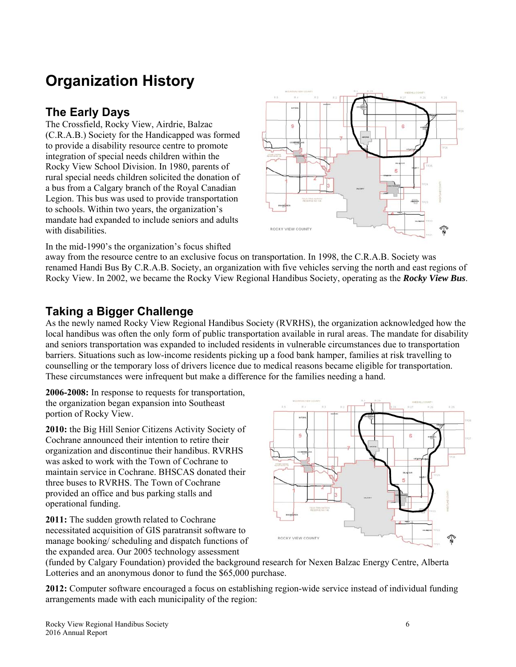# **Organization History**

### **The Early Days**

The Crossfield, Rocky View, Airdrie, Balzac (C.R.A.B.) Society for the Handicapped was formed to provide a disability resource centre to promote integration of special needs children within the Rocky View School Division. In 1980, parents of rural special needs children solicited the donation of a bus from a Calgary branch of the Royal Canadian Legion. This bus was used to provide transportation to schools. Within two years, the organization's mandate had expanded to include seniors and adults with disabilities.



In the mid-1990's the organization's focus shifted

away from the resource centre to an exclusive focus on transportation. In 1998, the C.R.A.B. Society was renamed Handi Bus By C.R.A.B. Society, an organization with five vehicles serving the north and east regions of Rocky View. In 2002, we became the Rocky View Regional Handibus Society, operating as the *Rocky View Bus*.

### **Taking a Bigger Challenge**

As the newly named Rocky View Regional Handibus Society (RVRHS), the organization acknowledged how the local handibus was often the only form of public transportation available in rural areas. The mandate for disability and seniors transportation was expanded to included residents in vulnerable circumstances due to transportation barriers. Situations such as low-income residents picking up a food bank hamper, families at risk travelling to counselling or the temporary loss of drivers licence due to medical reasons became eligible for transportation. These circumstances were infrequent but make a difference for the families needing a hand.

**2006-2008:** In response to requests for transportation, the organization began expansion into Southeast portion of Rocky View.

**2010:** the Big Hill Senior Citizens Activity Society of Cochrane announced their intention to retire their organization and discontinue their handibus. RVRHS was asked to work with the Town of Cochrane to maintain service in Cochrane. BHSCAS donated their three buses to RVRHS. The Town of Cochrane provided an office and bus parking stalls and operational funding.

**2011:** The sudden growth related to Cochrane necessitated acquisition of GIS paratransit software to manage booking/ scheduling and dispatch functions of the expanded area. Our 2005 technology assessment



(funded by Calgary Foundation) provided the background research for Nexen Balzac Energy Centre, Alberta Lotteries and an anonymous donor to fund the \$65,000 purchase.

**2012:** Computer software encouraged a focus on establishing region-wide service instead of individual funding arrangements made with each municipality of the region: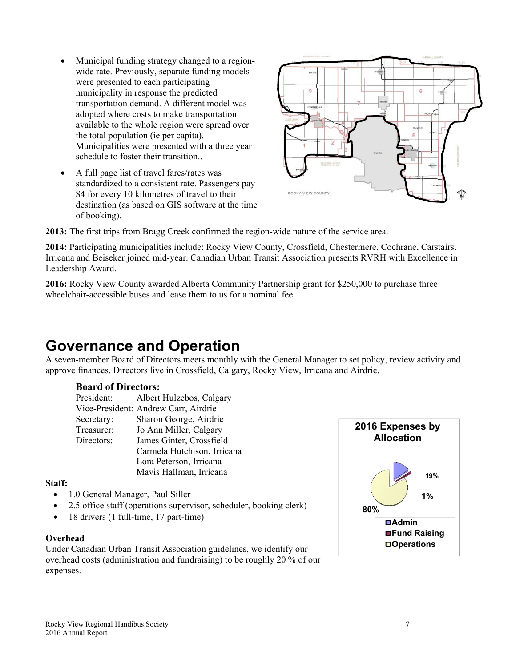- Municipal funding strategy changed to a regionwide rate. Previously, separate funding models were presented to each participating municipality in response the predicted transportation demand. A different model was adopted where costs to make transportation available to the whole region were spread over the total population (ie per capita). Municipalities were presented with a three year schedule to foster their transition..
- A full page list of travel fares/rates was standardized to a consistent rate. Passengers pay \$4 for every 10 kilometres of travel to their destination (as based on GIS software at the time of booking).



**2013:** The first trips from Bragg Creek confirmed the region-wide nature of the service area.

**2014:** Participating municipalities include: Rocky View County, Crossfield, Chestermere, Cochrane, Carstairs. Irricana and Beiseker joined mid-year. Canadian Urban Transit Association presents RVRH with Excellence in Leadership Award.

**2016:** Rocky View County awarded Alberta Community Partnership grant for \$250,000 to purchase three wheelchair-accessible buses and lease them to us for a nominal fee.

### **Governance and Operation**

A seven-member Board of Directors meets monthly with the General Manager to set policy, review activity and approve finances. Directors live in Crossfield, Calgary, Rocky View, Irricana and Airdrie.

### **Board of Directors:**

President: Albert Hulzebos, Calgary Vice-President: Andrew Carr, Airdrie Secretary: Sharon George, Airdrie Treasurer: Jo Ann Miller, Calgary Directors: James Ginter, Crossfield Carmela Hutchison, Irricana Lora Peterson, Irricana Mavis Hallman, Irricana

### **Staff:**

- 1.0 General Manager, Paul Siller
- 2.5 office staff (operations supervisor, scheduler, booking clerk)
- 18 drivers (1 full-time, 17 part-time)

### **Overhead**

Under Canadian Urban Transit Association guidelines, we identify our overhead costs (administration and fundraising) to be roughly 20 % of our expenses.